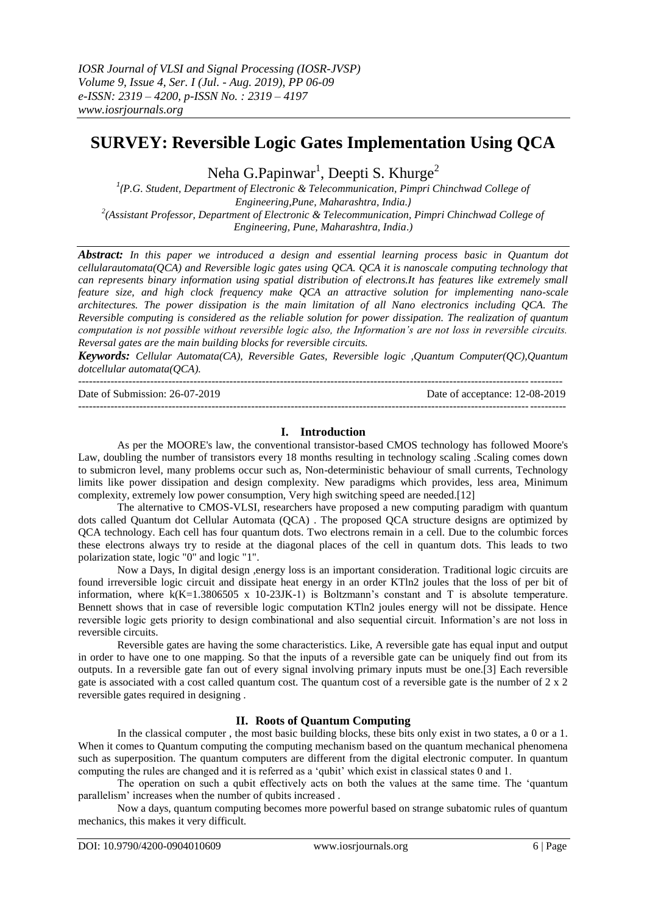# **SURVEY: Reversible Logic Gates Implementation Using QCA**

Neha G.Papinwar $^1$ , Deepti S. Khurge $^2$ 

<sup>1</sup>(P.G. Student, Department of Electronic & Telecommunication, Pimpri Chinchwad College of *Engineering,Pune, Maharashtra, India.)* <sup>2</sup>(Assistant Professor, Department of Electronic & Telecommunication, Pimpri Chinchwad College of *Engineering, Pune, Maharashtra, India*.*)*

*Abstract: In this paper we introduced a design and essential learning process basic in Quantum dot cellularautomata(QCA) and Reversible logic gates using QCA. QCA it is nanoscale computing technology that can represents binary information using spatial distribution of electrons.It has features like extremely small feature size, and high clock frequency make QCA an attractive solution for implementing nano-scale architectures. The power dissipation is the main limitation of all Nano electronics including QCA. The Reversible computing is considered as the reliable solution for power dissipation. The realization of quantum computation is not possible without reversible logic also, the Information's are not loss in reversible circuits. Reversal gates are the main building blocks for reversible circuits.*

*Keywords: Cellular Automata(CA), Reversible Gates, Reversible logic ,Quantum Computer(QC),Quantum dotcellular automata(QCA).*

| Date of Submission: 26-07-2019 | Date of acceptance: 12-08-2019 |
|--------------------------------|--------------------------------|
|                                |                                |

# **I. Introduction**

As per the MOORE's law, the conventional transistor-based CMOS technology has followed Moore's Law, doubling the number of transistors every 18 months resulting in technology scaling .Scaling comes down to submicron level, many problems occur such as, Non-deterministic behaviour of small currents, Technology limits like power dissipation and design complexity. New paradigms which provides, less area, Minimum complexity, extremely low power consumption, Very high switching speed are needed.[12]

The alternative to CMOS-VLSI, researchers have proposed a new computing paradigm with quantum dots called Quantum dot Cellular Automata (QCA) . The proposed QCA structure designs are optimized by QCA technology. Each cell has four quantum dots. Two electrons remain in a cell. Due to the columbic forces these electrons always try to reside at the diagonal places of the cell in quantum dots. This leads to two polarization state, logic "0" and logic "1".

Now a Days, In digital design ,energy loss is an important consideration. Traditional logic circuits are found irreversible logic circuit and dissipate heat energy in an order KTln2 joules that the loss of per bit of information, where k(K=1.3806505 x 10-23JK-1) is Boltzmann's constant and T is absolute temperature. Bennett shows that in case of reversible logic computation KTln2 joules energy will not be dissipate. Hence reversible logic gets priority to design combinational and also sequential circuit. Information's are not loss in reversible circuits.

Reversible gates are having the some characteristics. Like, A reversible gate has equal input and output in order to have one to one mapping. So that the inputs of a reversible gate can be uniquely find out from its outputs. In a reversible gate fan out of every signal involving primary inputs must be one.[3] Each reversible gate is associated with a cost called quantum cost. The quantum cost of a reversible gate is the number of  $2 \times 2$ reversible gates required in designing .

# **II. Roots of Quantum Computing**

In the classical computer , the most basic building blocks, these bits only exist in two states, a 0 or a 1. When it comes to Quantum computing the computing mechanism based on the quantum mechanical phenomena such as superposition. The quantum computers are different from the digital electronic computer. In quantum computing the rules are changed and it is referred as a 'qubit' which exist in classical states 0 and 1.

The operation on such a qubit effectively acts on both the values at the same time. The 'quantum parallelism' increases when the number of qubits increased .

Now a days, quantum computing becomes more powerful based on strange subatomic rules of quantum mechanics, this makes it very difficult.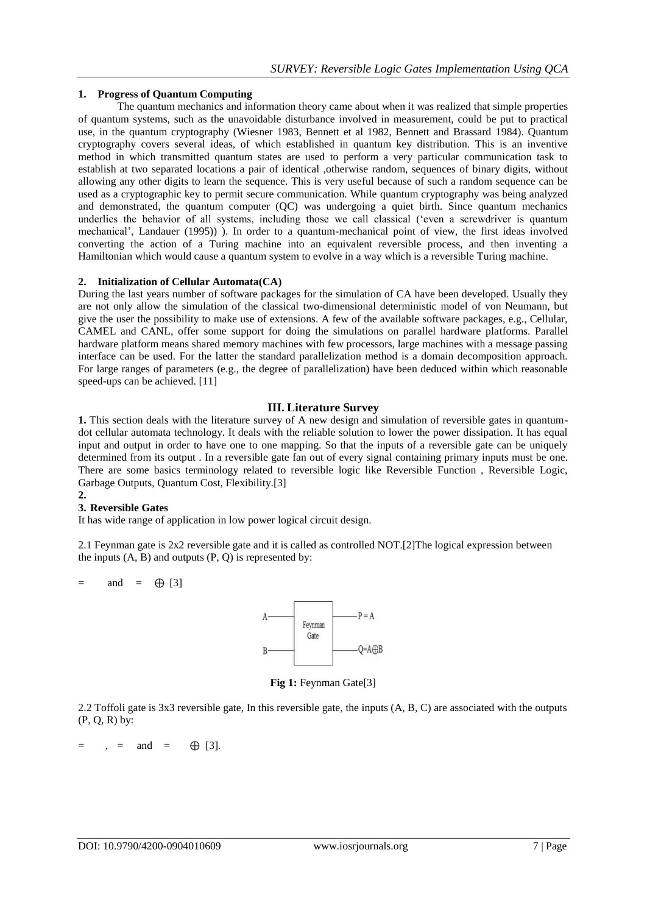# **1. Progress of Quantum Computing**

The quantum mechanics and information theory came about when it was realized that simple properties of quantum systems, such as the unavoidable disturbance involved in measurement, could be put to practical use, in the quantum cryptography (Wiesner 1983, Bennett et al 1982, Bennett and Brassard 1984). Quantum cryptography covers several ideas, of which established in quantum key distribution. This is an inventive method in which transmitted quantum states are used to perform a very particular communication task to establish at two separated locations a pair of identical ,otherwise random, sequences of binary digits, without allowing any other digits to learn the sequence. This is very useful because of such a random sequence can be used as a cryptographic key to permit secure communication. While quantum cryptography was being analyzed and demonstrated, the quantum computer (QC) was undergoing a quiet birth. Since quantum mechanics underlies the behavior of all systems, including those we call classical ('even a screwdriver is quantum mechanical', Landauer (1995)) ). In order to a quantum-mechanical point of view, the first ideas involved converting the action of a Turing machine into an equivalent reversible process, and then inventing a Hamiltonian which would cause a quantum system to evolve in a way which is a reversible Turing machine.

## **2. Initialization of Cellular Automata(CA)**

During the last years number of software packages for the simulation of CA have been developed. Usually they are not only allow the simulation of the classical two-dimensional deterministic model of von Neumann, but give the user the possibility to make use of extensions. A few of the available software packages, e.g., Cellular, CAMEL and CANL, offer some support for doing the simulations on parallel hardware platforms. Parallel hardware platform means shared memory machines with few processors, large machines with a message passing interface can be used. For the latter the standard parallelization method is a domain decomposition approach. For large ranges of parameters (e.g., the degree of parallelization) have been deduced within which reasonable speed-ups can be achieved. [11]

# **III. Literature Survey**

**1.** This section deals with the literature survey of A new design and simulation of reversible gates in quantumdot cellular automata technology. It deals with the reliable solution to lower the power dissipation. It has equal input and output in order to have one to one mapping. So that the inputs of a reversible gate can be uniquely determined from its output . In a reversible gate fan out of every signal containing primary inputs must be one. There are some basics terminology related to reversible logic like Reversible Function , Reversible Logic, Garbage Outputs, Quantum Cost, Flexibility.[3]

#### **2. 3. Reversible Gates**

It has wide range of application in low power logical circuit design.

2.1 Feynman gate is 2x2 reversible gate and it is called as controlled NOT.[2]The logical expression between the inputs  $(A, B)$  and outputs  $(P, Q)$  is represented by:

 $=$  and  $=$   $\oplus$  [3]



**Fig 1:** Feynman Gate[3]

2.2 Toffoli gate is 3x3 reversible gate, In this reversible gate, the inputs (A, B, C) are associated with the outputs (P, Q, R) by:

 $=$  ,  $=$  and  $=$   $\oplus$  [3].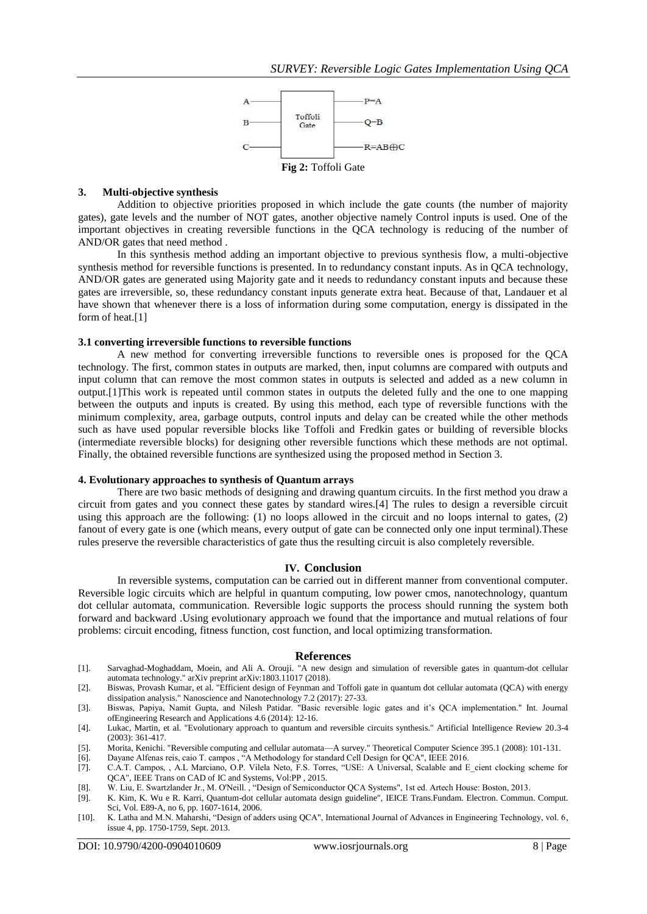

## **3. Multi-objective synthesis**

Addition to objective priorities proposed in which include the gate counts (the number of majority gates), gate levels and the number of NOT gates, another objective namely Control inputs is used. One of the important objectives in creating reversible functions in the QCA technology is reducing of the number of AND/OR gates that need method .

In this synthesis method adding an important objective to previous synthesis flow, a multi-objective synthesis method for reversible functions is presented. In to redundancy constant inputs. As in QCA technology, AND/OR gates are generated using Majority gate and it needs to redundancy constant inputs and because these gates are irreversible, so, these redundancy constant inputs generate extra heat. Because of that, Landauer et al have shown that whenever there is a loss of information during some computation, energy is dissipated in the form of heat.[1]

## **3.1 converting irreversible functions to reversible functions**

A new method for converting irreversible functions to reversible ones is proposed for the QCA technology. The first, common states in outputs are marked, then, input columns are compared with outputs and input column that can remove the most common states in outputs is selected and added as a new column in output.[1]This work is repeated until common states in outputs the deleted fully and the one to one mapping between the outputs and inputs is created. By using this method, each type of reversible functions with the minimum complexity, area, garbage outputs, control inputs and delay can be created while the other methods such as have used popular reversible blocks like Toffoli and Fredkin gates or building of reversible blocks (intermediate reversible blocks) for designing other reversible functions which these methods are not optimal. Finally, the obtained reversible functions are synthesized using the proposed method in Section 3.

## **4. Evolutionary approaches to synthesis of Quantum arrays**

There are two basic methods of designing and drawing quantum circuits. In the first method you draw a circuit from gates and you connect these gates by standard wires.[4] The rules to design a reversible circuit using this approach are the following: (1) no loops allowed in the circuit and no loops internal to gates, (2) fanout of every gate is one (which means, every output of gate can be connected only one input terminal).These rules preserve the reversible characteristics of gate thus the resulting circuit is also completely reversible.

## **IV. Conclusion**

In reversible systems, computation can be carried out in different manner from conventional computer. Reversible logic circuits which are helpful in quantum computing, low power cmos, nanotechnology, quantum dot cellular automata, communication. Reversible logic supports the process should running the system both forward and backward .Using evolutionary approach we found that the importance and mutual relations of four problems: circuit encoding, fitness function, cost function, and local optimizing transformation.

#### **References**

[1]. Sarvaghad-Moghaddam, Moein, and Ali A. Orouji. "A new design and simulation of reversible gates in quantum-dot cellular automata technology." arXiv preprint arXiv:1803.11017 (2018).

[2]. Biswas, Provash Kumar, et al. "Efficient design of Feynman and Toffoli gate in quantum dot cellular automata (QCA) with energy dissipation analysis." Nanoscience and Nanotechnology 7.2 (2017): 27-33.

[3]. Biswas, Papiya, Namit Gupta, and Nilesh Patidar. "Basic reversible logic gates and it's QCA implementation." Int. Journal ofEngineering Research and Applications 4.6 (2014): 12-16.

- [4]. Lukac, Martin, et al. "Evolutionary approach to quantum and reversible circuits synthesis." Artificial Intelligence Review 20.3-4 (2003): 361-417.
- [5]. Morita, Kenichi. "Reversible computing and cellular automata—A survey." Theoretical Computer Science 395.1 (2008): 101-131.
- [6]. Dayane Alfenas reis, caio T. campos , "A Methodology for standard Cell Design for QCA", IEEE 2016.
- [7]. C.A.T. Campos, , A.L Marciano, O.P. Vilela Neto, F.S. Torres, "USE: A Universal, Scalable and E\_cient clocking scheme for QCA", IEEE Trans on CAD of IC and Systems, Vol:PP , 2015.
- [8]. W. Liu, E. Swartzlander Jr., M. O'Neill. , "Design of Semiconductor QCA Systems", 1st ed. Artech House: Boston, 2013.
- [9]. K. Kim, K. Wu e R. Karri, Quantum-dot cellular automata design guideline", IEICE Trans.Fundam. Electron. Commun. Comput. Sci, Vol. E89-A, no 6, pp. 1607-1614, 2006.
- [10]. K. Latha and M.N. Maharshi, "Design of adders using QCA", International Journal of Advances in Engineering Technology, vol. 6, issue 4, pp. 1750-1759, Sept. 2013.